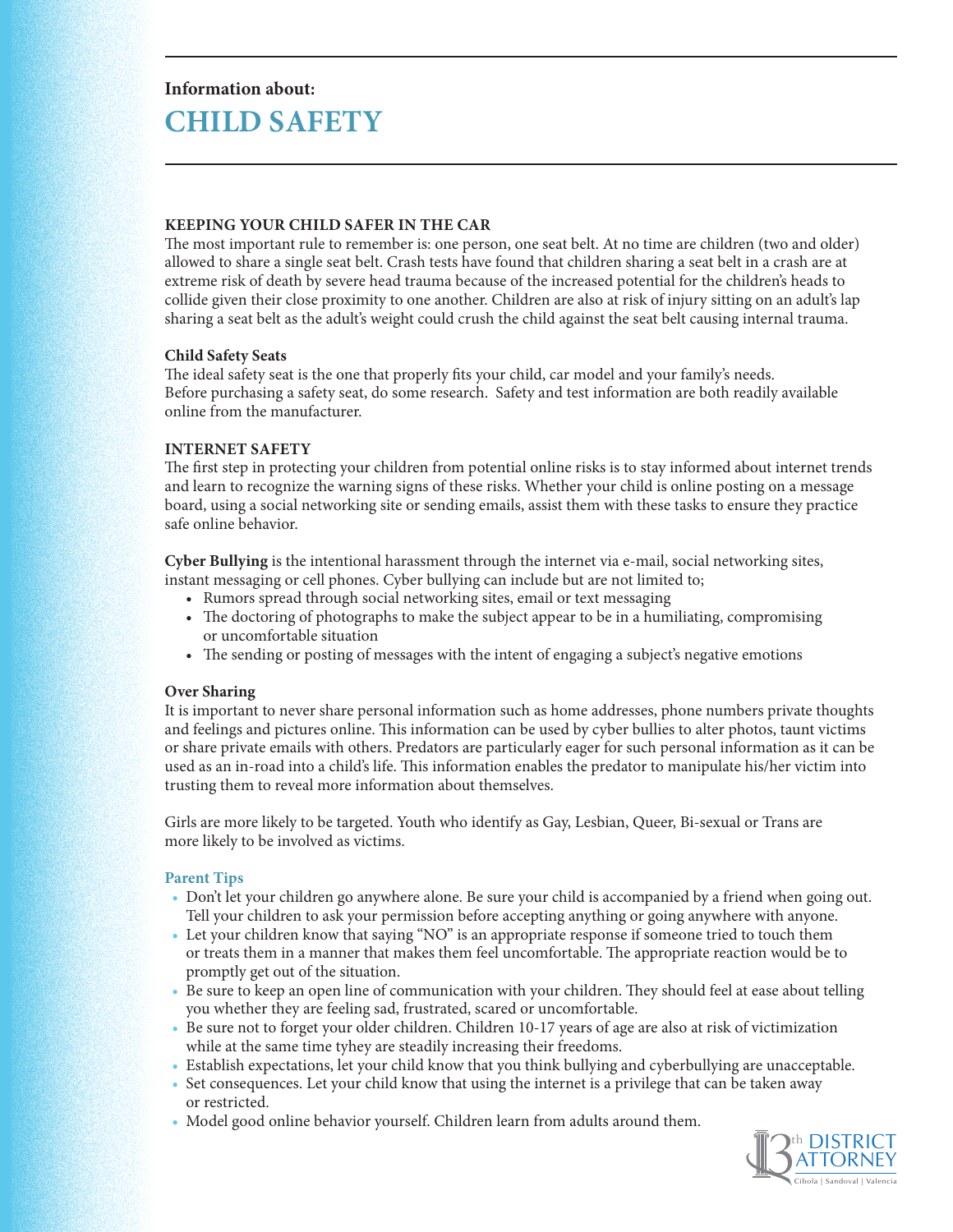# **Information about: CHILD SAFETY**

## **KEEPING YOUR CHILD SAFER IN THE CAR**

The most important rule to remember is: one person, one seat belt. At no time are children (two and older) allowed to share a single seat belt. Crash tests have found that children sharing a seat belt in a crash are at extreme risk of death by severe head trauma because of the increased potential for the children's heads to collide given their close proximity to one another. Children are also at risk of injury sitting on an adult's lap sharing a seat belt as the adult's weight could crush the child against the seat belt causing internal trauma.

## **Child Safety Seats**

The ideal safety seat is the one that properly fits your child, car model and your family's needs. Before purchasing a safety seat, do some research. Safety and test information are both readily available online from the manufacturer.

# **INTERNET SAFETY**

The first step in protecting your children from potential online risks is to stay informed about internet trends and learn to recognize the warning signs of these risks. Whether your child is online posting on a message board, using a social networking site or sending emails, assist them with these tasks to ensure they practice safe online behavior.

**Cyber Bullying** is the intentional harassment through the internet via e-mail, social networking sites, instant messaging or cell phones. Cyber bullying can include but are not limited to;

- Rumors spread through social networking sites, email or text messaging
- The doctoring of photographs to make the subject appear to be in a humiliating, compromising or uncomfortable situation
- The sending or posting of messages with the intent of engaging a subject's negative emotions

# **Over Sharing**

It is important to never share personal information such as home addresses, phone numbers private thoughts and feelings and pictures online. This information can be used by cyber bullies to alter photos, taunt victims or share private emails with others. Predators are particularly eager for such personal information as it can be used as an in-road into a child's life. This information enables the predator to manipulate his/her victim into trusting them to reveal more information about themselves.

Girls are more likely to be targeted. Youth who identify as Gay, Lesbian, Queer, Bi-sexual or Trans are more likely to be involved as victims.

#### **Parent Tips**

- Don't let your children go anywhere alone. Be sure your child is accompanied by a friend when going out. Tell your children to ask your permission before accepting anything or going anywhere with anyone.
- Let your children know that saying "NO" is an appropriate response if someone tried to touch them or treats them in a manner that makes them feel uncomfortable. The appropriate reaction would be to promptly get out of the situation.
- Be sure to keep an open line of communication with your children. They should feel at ease about telling you whether they are feeling sad, frustrated, scared or uncomfortable.
- Be sure not to forget your older children. Children 10-17 years of age are also at risk of victimization while at the same time tyhey are steadily increasing their freedoms.
- Establish expectations, let your child know that you think bullying and cyberbullying are unacceptable.
- Set consequences. Let your child know that using the internet is a privilege that can be taken away or restricted.
- Model good online behavior yourself. Children learn from adults around them.